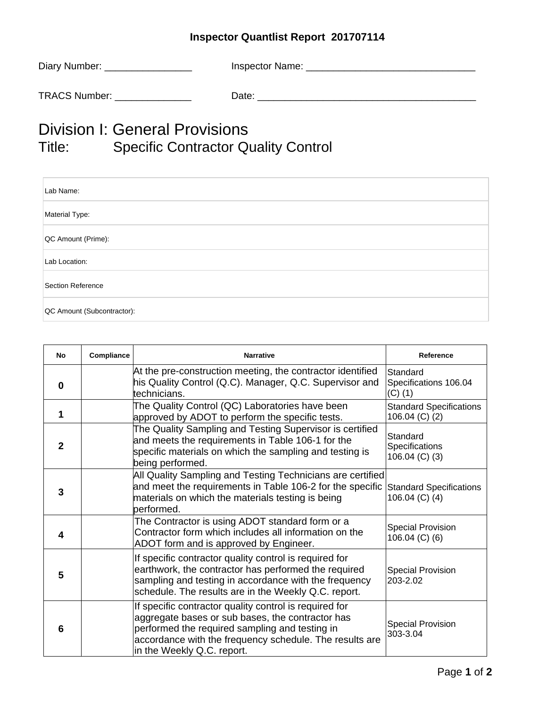## **Inspector Quantlist Report 201707114**

| Diary Number: _ | Inspector Name: |
|-----------------|-----------------|
| TRACS Number:   | Date:           |

## Division I: General Provisions<br>Title: Specific Contractor Q Specific Contractor Quality Control

| Lab Name:                  |
|----------------------------|
| Material Type:             |
| QC Amount (Prime):         |
| Lab Location:              |
| Section Reference          |
| QC Amount (Subcontractor): |

| <b>No</b>      | Compliance | <b>Narrative</b>                                                                                                                                                                                                                                      | Reference                                        |
|----------------|------------|-------------------------------------------------------------------------------------------------------------------------------------------------------------------------------------------------------------------------------------------------------|--------------------------------------------------|
| $\bf{0}$       |            | At the pre-construction meeting, the contractor identified<br>his Quality Control (Q.C). Manager, Q.C. Supervisor and<br>technicians.                                                                                                                 | Standard<br>Specifications 106.04<br>$(C)$ (1)   |
| 1              |            | The Quality Control (QC) Laboratories have been<br>approved by ADOT to perform the specific tests.                                                                                                                                                    | <b>Standard Specifications</b><br>106.04 (C) (2) |
| $\overline{2}$ |            | The Quality Sampling and Testing Supervisor is certified<br>and meets the requirements in Table 106-1 for the<br>specific materials on which the sampling and testing is<br>being performed.                                                          | Standard<br>Specifications<br>106.04 $(C)$ $(3)$ |
| 3              |            | All Quality Sampling and Testing Technicians are certified<br>and meet the requirements in Table 106-2 for the specific Standard Specifications<br>materials on which the materials testing is being<br>performed.                                    | 106.04 (C) (4)                                   |
| 4              |            | The Contractor is using ADOT standard form or a<br>Contractor form which includes all information on the<br>ADOT form and is approved by Engineer.                                                                                                    | <b>Special Provision</b><br>106.04 $(C)$ $(6)$   |
| 5              |            | If specific contractor quality control is required for<br>earthwork, the contractor has performed the required<br>sampling and testing in accordance with the frequency<br>schedule. The results are in the Weekly Q.C. report.                       | <b>Special Provision</b><br>203-2.02             |
| 6              |            | If specific contractor quality control is required for<br>aggregate bases or sub bases, the contractor has<br>performed the required sampling and testing in<br>accordance with the frequency schedule. The results are<br>in the Weekly Q.C. report. | <b>Special Provision</b><br>303-3.04             |